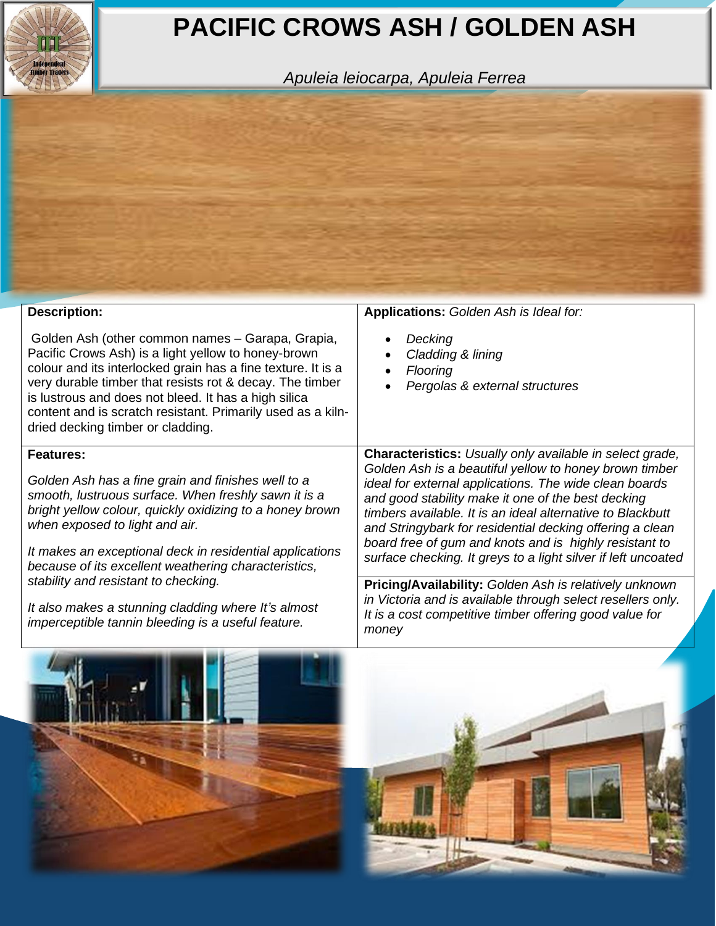## **PACIFIC CROWS ASH / GOLDEN ASH**

*Apuleia leiocarpa, Apuleia Ferrea*



| <b>Description:</b>                                                                                                                                                                                                                                                                                                                                                                             | Applications: Golden Ash is Ideal for:                                                                                                                                                                                                                                                                                                                                                                                                                                                         |
|-------------------------------------------------------------------------------------------------------------------------------------------------------------------------------------------------------------------------------------------------------------------------------------------------------------------------------------------------------------------------------------------------|------------------------------------------------------------------------------------------------------------------------------------------------------------------------------------------------------------------------------------------------------------------------------------------------------------------------------------------------------------------------------------------------------------------------------------------------------------------------------------------------|
| Golden Ash (other common names - Garapa, Grapia,<br>Pacific Crows Ash) is a light yellow to honey-brown<br>colour and its interlocked grain has a fine texture. It is a<br>very durable timber that resists rot & decay. The timber<br>is lustrous and does not bleed. It has a high silica<br>content and is scratch resistant. Primarily used as a kiln-<br>dried decking timber or cladding. | Decking<br>Cladding & lining<br>Flooring<br>Pergolas & external structures                                                                                                                                                                                                                                                                                                                                                                                                                     |
| <b>Features:</b><br>Golden Ash has a fine grain and finishes well to a<br>smooth, lustruous surface. When freshly sawn it is a<br>bright yellow colour, quickly oxidizing to a honey brown<br>when exposed to light and air.<br>It makes an exceptional deck in residential applications<br>because of its excellent weathering characteristics,                                                | <b>Characteristics:</b> Usually only available in select grade,<br>Golden Ash is a beautiful yellow to honey brown timber<br>ideal for external applications. The wide clean boards<br>and good stability make it one of the best decking<br>timbers available. It is an ideal alternative to Blackbutt<br>and Stringybark for residential decking offering a clean<br>board free of gum and knots and is highly resistant to<br>surface checking. It greys to a light silver if left uncoated |
| stability and resistant to checking.<br>It also makes a stunning cladding where It's almost<br>imperceptible tannin bleeding is a useful feature.                                                                                                                                                                                                                                               | Pricing/Availability: Golden Ash is relatively unknown<br>in Victoria and is available through select resellers only.<br>It is a cost competitive timber offering good value for<br>money                                                                                                                                                                                                                                                                                                      |